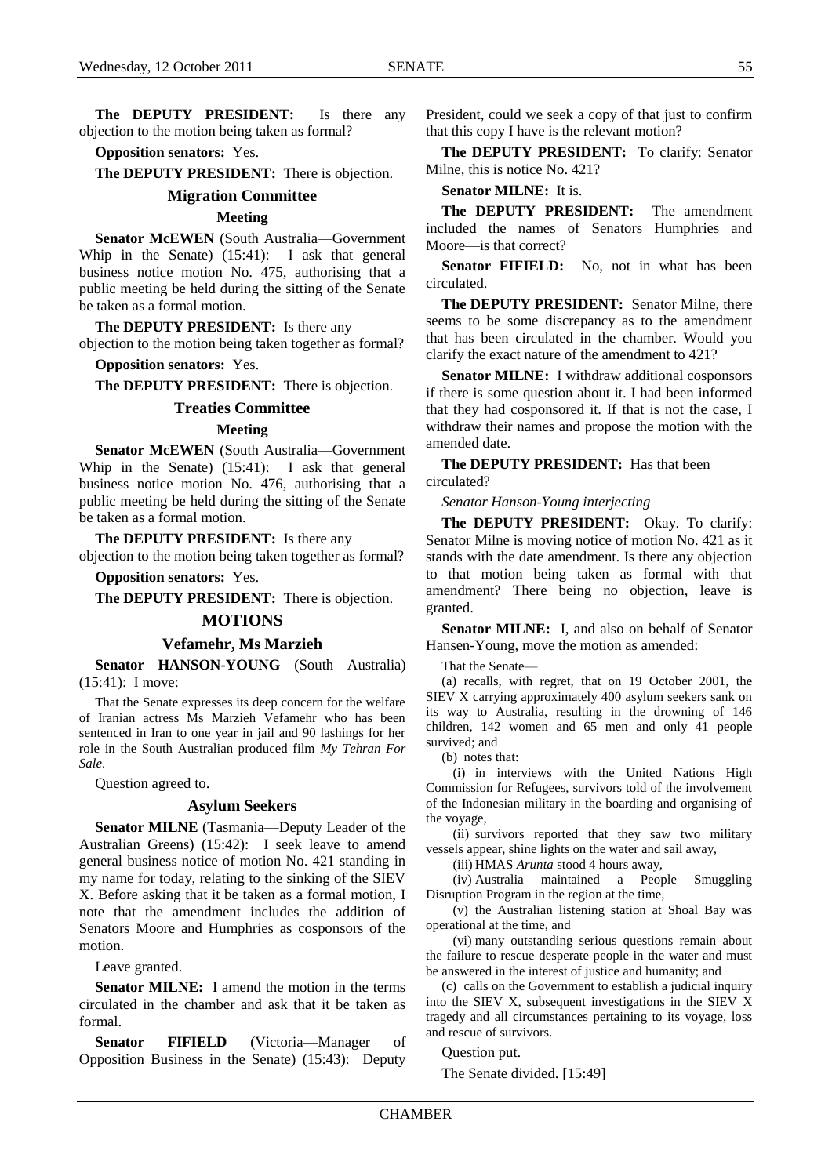**The DEPUTY PRESIDENT:** Is there any objection to the motion being taken as formal?

## **Opposition senators:** Yes.

**The DEPUTY PRESIDENT:** There is objection.

## **Migration Committee**

### **Meeting**

**Senator McEWEN** (South Australia—Government Whip in the Senate) (15:41): I ask that general business notice motion No. 475, authorising that a public meeting be held during the sitting of the Senate be taken as a formal motion.

**The DEPUTY PRESIDENT:** Is there any objection to the motion being taken together as formal?

**Opposition senators:** Yes.

**The DEPUTY PRESIDENT:** There is objection.

### **Treaties Committee**

#### **Meeting**

**Senator McEWEN** (South Australia—Government Whip in the Senate) (15:41): I ask that general business notice motion No. 476, authorising that a public meeting be held during the sitting of the Senate be taken as a formal motion.

**The DEPUTY PRESIDENT:** Is there any

objection to the motion being taken together as formal?

**Opposition senators:** Yes.

**The DEPUTY PRESIDENT:** There is objection.

#### **MOTIONS**

#### **Vefamehr, Ms Marzieh**

**Senator HANSON-YOUNG** (South Australia) (15:41): I move:

That the Senate expresses its deep concern for the welfare of Iranian actress Ms Marzieh Vefamehr who has been sentenced in Iran to one year in jail and 90 lashings for her role in the South Australian produced film *My Tehran For Sale*.

Question agreed to.

#### **Asylum Seekers**

**Senator MILNE** (Tasmania—Deputy Leader of the Australian Greens) (15:42): I seek leave to amend general business notice of motion No. 421 standing in my name for today, relating to the sinking of the SIEV X. Before asking that it be taken as a formal motion, I note that the amendment includes the addition of Senators Moore and Humphries as cosponsors of the motion.

Leave granted.

**Senator MILNE:** I amend the motion in the terms circulated in the chamber and ask that it be taken as formal.

**Senator FIFIELD** (Victoria—Manager of Opposition Business in the Senate) (15:43): Deputy President, could we seek a copy of that just to confirm that this copy I have is the relevant motion?

**The DEPUTY PRESIDENT:** To clarify: Senator Milne, this is notice No. 421?

**Senator MILNE:** It is.

**The DEPUTY PRESIDENT:** The amendment included the names of Senators Humphries and Moore—is that correct?

Senator FIFIELD: No, not in what has been circulated.

**The DEPUTY PRESIDENT:** Senator Milne, there seems to be some discrepancy as to the amendment that has been circulated in the chamber. Would you clarify the exact nature of the amendment to 421?

**Senator MILNE:** I withdraw additional cosponsors if there is some question about it. I had been informed that they had cosponsored it. If that is not the case, I withdraw their names and propose the motion with the amended date.

**The DEPUTY PRESIDENT:** Has that been circulated?

*Senator Hanson-Young interjecting*—

**The DEPUTY PRESIDENT:** Okay. To clarify: Senator Milne is moving notice of motion No. 421 as it stands with the date amendment. Is there any objection to that motion being taken as formal with that amendment? There being no objection, leave is granted.

**Senator MILNE:** I, and also on behalf of Senator Hansen-Young, move the motion as amended:

That the Senate—

(a) recalls, with regret, that on 19 October 2001, the SIEV X carrying approximately 400 asylum seekers sank on its way to Australia, resulting in the drowning of 146 children, 142 women and 65 men and only 41 people survived: and

(b) notes that:

(i) in interviews with the United Nations High Commission for Refugees, survivors told of the involvement of the Indonesian military in the boarding and organising of the voyage,

(ii) survivors reported that they saw two military vessels appear, shine lights on the water and sail away,

(iii) HMAS *Arunta* stood 4 hours away,

(iv) Australia maintained a People Smuggling Disruption Program in the region at the time,

(v) the Australian listening station at Shoal Bay was operational at the time, and

(vi) many outstanding serious questions remain about the failure to rescue desperate people in the water and must be answered in the interest of justice and humanity; and

(c) calls on the Government to establish a judicial inquiry into the SIEV X, subsequent investigations in the SIEV X tragedy and all circumstances pertaining to its voyage, loss and rescue of survivors.

Question put.

The Senate divided. [15:49]